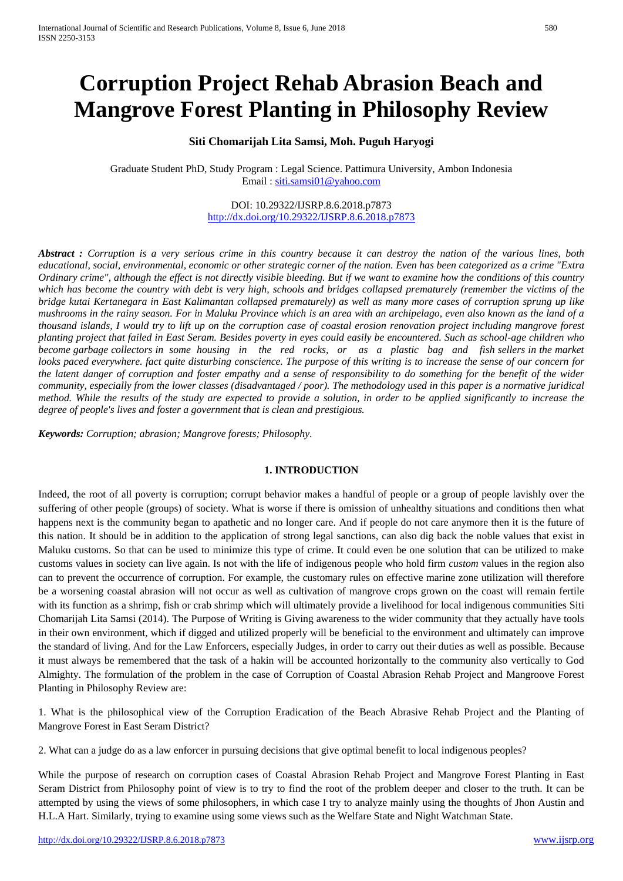# **Corruption Project Rehab Abrasion Beach and Mangrove Forest Planting in Philosophy Review**

## **Siti Chomarijah Lita Samsi, Moh. Puguh Haryogi**

Graduate Student PhD, Study Program : Legal Science. Pattimura University, Ambon Indonesia Email : [siti.samsi01@yahoo.com](mailto:siti.samsi01@yahoo.com)

## DOI: 10.29322/IJSRP.8.6.2018.p7873 <http://dx.doi.org/10.29322/IJSRP.8.6.2018.p7873>

*Abstract : Corruption is a very serious crime in this country because it can destroy the nation of the various lines, both educational, social, environmental, economic or other strategic corner of the nation. Even has been categorized as a crime "Extra Ordinary crime", although the effect is not directly visible bleeding. But if we want to examine how the conditions of this country which has become the country with debt is very high, schools and bridges collapsed prematurely (remember the victims of the bridge kutai Kertanegara in East Kalimantan collapsed prematurely) as well as many more cases of corruption sprung up like mushrooms in the rainy season. For in Maluku Province which is an area with an archipelago, even also known as the land of a thousand islands, I would try to lift up on the corruption case of coastal erosion renovation project including mangrove forest planting project that failed in East Seram. Besides poverty in eyes could easily be encountered. Such as school-age children who become garbage collectors in some housing in the red rocks, or as a plastic bag and fish sellers in the market looks paced everywhere. fact quite disturbing conscience. The purpose of this writing is to increase the sense of our concern for the latent danger of corruption and foster empathy and a sense of responsibility to do something for the benefit of the wider community, especially from the lower classes (disadvantaged / poor). The methodology used in this paper is a normative juridical method. While the results of the study are expected to provide a solution, in order to be applied significantly to increase the degree of people's lives and foster a government that is clean and prestigious.*

*Keywords: Corruption; abrasion; Mangrove forests; Philosophy*.

## **1. INTRODUCTION**

Indeed, the root of all poverty is corruption; corrupt behavior makes a handful of people or a group of people lavishly over the suffering of other people (groups) of society. What is worse if there is omission of unhealthy situations and conditions then what happens next is the community began to apathetic and no longer care. And if people do not care anymore then it is the future of this nation. It should be in addition to the application of strong legal sanctions, can also dig back the noble values that exist in Maluku customs. So that can be used to minimize this type of crime. It could even be one solution that can be utilized to make customs values in society can live again. Is not with the life of indigenous people who hold firm *custom* values in the region also can to prevent the occurrence of corruption. For example, the customary rules on effective marine zone utilization will therefore be a worsening coastal abrasion will not occur as well as cultivation of mangrove crops grown on the coast will remain fertile with its function as a shrimp, fish or crab shrimp which will ultimately provide a livelihood for local indigenous communities Siti Chomarijah Lita Samsi (2014). The Purpose of Writing is Giving awareness to the wider community that they actually have tools in their own environment, which if digged and utilized properly will be beneficial to the environment and ultimately can improve the standard of living. And for the Law Enforcers, especially Judges, in order to carry out their duties as well as possible. Because it must always be remembered that the task of a hakin will be accounted horizontally to the community also vertically to God Almighty. The formulation of the problem in the case of Corruption of Coastal Abrasion Rehab Project and Mangroove Forest Planting in Philosophy Review are:

1. What is the philosophical view of the Corruption Eradication of the Beach Abrasive Rehab Project and the Planting of Mangrove Forest in East Seram District?

2. What can a judge do as a law enforcer in pursuing decisions that give optimal benefit to local indigenous peoples?

While the purpose of research on corruption cases of Coastal Abrasion Rehab Project and Mangrove Forest Planting in East Seram District from Philosophy point of view is to try to find the root of the problem deeper and closer to the truth. It can be attempted by using the views of some philosophers, in which case I try to analyze mainly using the thoughts of Jhon Austin and H.L.A Hart. Similarly, trying to examine using some views such as the Welfare State and Night Watchman State.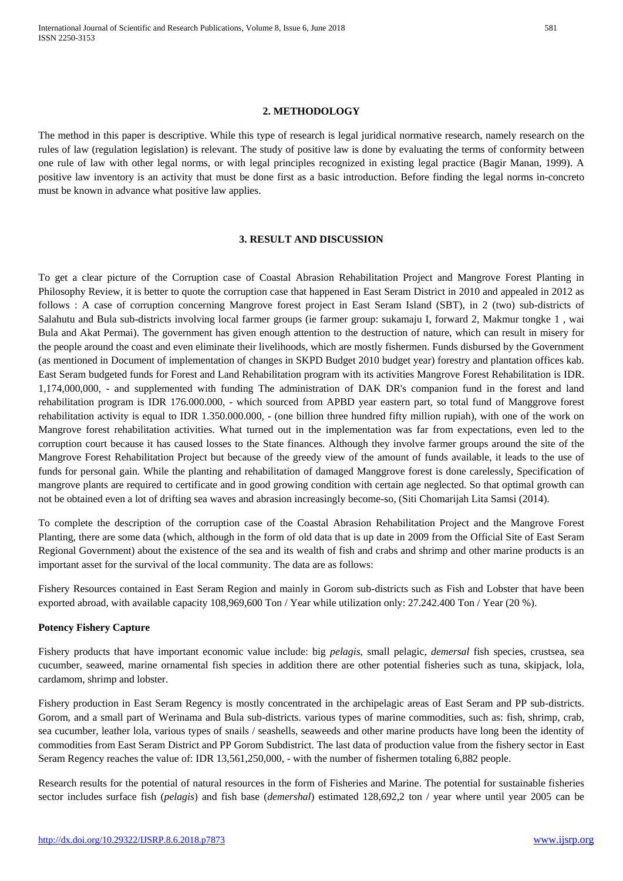#### **2. METHODOLOGY**

The method in this paper is descriptive. While this type of research is legal juridical normative research, namely research on the rules of law (regulation legislation) is relevant. The study of positive law is done by evaluating the terms of conformity between one rule of law with other legal norms, or with legal principles recognized in existing legal practice (Bagir Manan, 1999). A positive law inventory is an activity that must be done first as a basic introduction. Before finding the legal norms in-concreto must be known in advance what positive law applies.

#### **3. RESULT AND DISCUSSION**

To get a clear picture of the Corruption case of Coastal Abrasion Rehabilitation Project and Mangrove Forest Planting in Philosophy Review, it is better to quote the corruption case that happened in East Seram District in 2010 and appealed in 2012 as follows : A case of corruption concerning Mangrove forest project in East Seram Island (SBT), in 2 (two) sub-districts of Salahutu and Bula sub-districts involving local farmer groups (ie farmer group: sukamaju I, forward 2, Makmur tongke 1 , wai Bula and Akat Permai). The government has given enough attention to the destruction of nature, which can result in misery for the people around the coast and even eliminate their livelihoods, which are mostly fishermen. Funds disbursed by the Government (as mentioned in Document of implementation of changes in SKPD Budget 2010 budget year) forestry and plantation offices kab. East Seram budgeted funds for Forest and Land Rehabilitation program with its activities Mangrove Forest Rehabilitation is IDR. 1,174,000,000, - and supplemented with funding The administration of DAK DR's companion fund in the forest and land rehabilitation program is IDR 176.000.000, - which sourced from APBD year eastern part, so total fund of Manggrove forest rehabilitation activity is equal to IDR 1.350.000.000, - (one billion three hundred fifty million rupiah), with one of the work on Mangrove forest rehabilitation activities. What turned out in the implementation was far from expectations, even led to the corruption court because it has caused losses to the State finances. Although they involve farmer groups around the site of the Mangrove Forest Rehabilitation Project but because of the greedy view of the amount of funds available, it leads to the use of funds for personal gain. While the planting and rehabilitation of damaged Manggrove forest is done carelessly, Specification of mangrove plants are required to certificate and in good growing condition with certain age neglected. So that optimal growth can not be obtained even a lot of drifting sea waves and abrasion increasingly become-so, (Siti Chomarijah Lita Samsi (2014).

To complete the description of the corruption case of the Coastal Abrasion Rehabilitation Project and the Mangrove Forest Planting, there are some data (which, although in the form of old data that is up date in 2009 from the Official Site of East Seram Regional Government) about the existence of the sea and its wealth of fish and crabs and shrimp and other marine products is an important asset for the survival of the local community. The data are as follows:

Fishery Resources contained in East Seram Region and mainly in Gorom sub-districts such as Fish and Lobster that have been exported abroad, with available capacity 108,969,600 Ton / Year while utilization only: 27.242.400 Ton / Year (20 %).

## **Potency Fishery Capture**

Fishery products that have important economic value include: big *pelagis*, small pelagic, *demersal* fish species, crustsea, sea cucumber, seaweed, marine ornamental fish species in addition there are other potential fisheries such as tuna, skipjack, lola, cardamom, shrimp and lobster.

Fishery production in East Seram Regency is mostly concentrated in the archipelagic areas of East Seram and PP sub-districts. Gorom, and a small part of Werinama and Bula sub-districts. various types of marine commodities, such as: fish, shrimp, crab, sea cucumber, leather lola, various types of snails / seashells, seaweeds and other marine products have long been the identity of commodities from East Seram District and PP Gorom Subdistrict. The last data of production value from the fishery sector in East Seram Regency reaches the value of: IDR 13,561,250,000, - with the number of fishermen totaling 6,882 people.

Research results for the potential of natural resources in the form of Fisheries and Marine. The potential for sustainable fisheries sector includes surface fish (*pelagis*) and fish base (*demershal*) estimated 128,692,2 ton / year where until year 2005 can be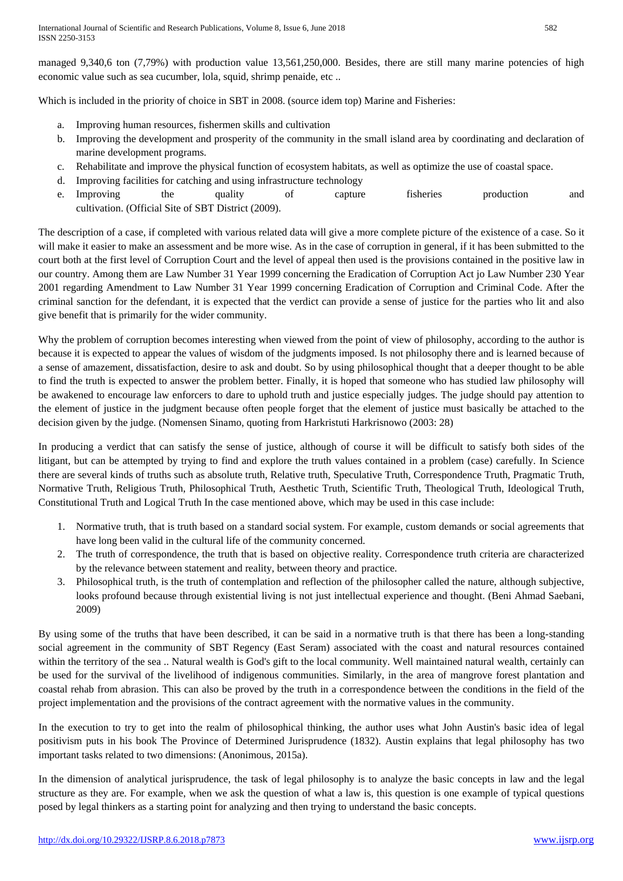managed 9,340,6 ton (7,79%) with production value 13,561,250,000. Besides, there are still many marine potencies of high economic value such as sea cucumber, lola, squid, shrimp penaide, etc ..

Which is included in the priority of choice in SBT in 2008. (source idem top) Marine and Fisheries:

- a. Improving human resources, fishermen skills and cultivation
- b. Improving the development and prosperity of the community in the small island area by coordinating and declaration of marine development programs.
- c. Rehabilitate and improve the physical function of ecosystem habitats, as well as optimize the use of coastal space.
- d. Improving facilities for catching and using infrastructure technology
- e. Improving the quality of capture fisheries production and cultivation. (Official Site of SBT District (2009).

The description of a case, if completed with various related data will give a more complete picture of the existence of a case. So it will make it easier to make an assessment and be more wise. As in the case of corruption in general, if it has been submitted to the court both at the first level of Corruption Court and the level of appeal then used is the provisions contained in the positive law in our country. Among them are Law Number 31 Year 1999 concerning the Eradication of Corruption Act jo Law Number 230 Year 2001 regarding Amendment to Law Number 31 Year 1999 concerning Eradication of Corruption and Criminal Code. After the criminal sanction for the defendant, it is expected that the verdict can provide a sense of justice for the parties who lit and also give benefit that is primarily for the wider community.

Why the problem of corruption becomes interesting when viewed from the point of view of philosophy, according to the author is because it is expected to appear the values of wisdom of the judgments imposed. Is not philosophy there and is learned because of a sense of amazement, dissatisfaction, desire to ask and doubt. So by using philosophical thought that a deeper thought to be able to find the truth is expected to answer the problem better. Finally, it is hoped that someone who has studied law philosophy will be awakened to encourage law enforcers to dare to uphold truth and justice especially judges. The judge should pay attention to the element of justice in the judgment because often people forget that the element of justice must basically be attached to the decision given by the judge. (Nomensen Sinamo, quoting from Harkristuti Harkrisnowo (2003: 28)

In producing a verdict that can satisfy the sense of justice, although of course it will be difficult to satisfy both sides of the litigant, but can be attempted by trying to find and explore the truth values contained in a problem (case) carefully. In Science there are several kinds of truths such as absolute truth, Relative truth, Speculative Truth, Correspondence Truth, Pragmatic Truth, Normative Truth, Religious Truth, Philosophical Truth, Aesthetic Truth, Scientific Truth, Theological Truth, Ideological Truth, Constitutional Truth and Logical Truth In the case mentioned above, which may be used in this case include:

- 1. Normative truth, that is truth based on a standard social system. For example, custom demands or social agreements that have long been valid in the cultural life of the community concerned.
- 2. The truth of correspondence, the truth that is based on objective reality. Correspondence truth criteria are characterized by the relevance between statement and reality, between theory and practice.
- 3. Philosophical truth, is the truth of contemplation and reflection of the philosopher called the nature, although subjective, looks profound because through existential living is not just intellectual experience and thought. (Beni Ahmad Saebani, 2009)

By using some of the truths that have been described, it can be said in a normative truth is that there has been a long-standing social agreement in the community of SBT Regency (East Seram) associated with the coast and natural resources contained within the territory of the sea .. Natural wealth is God's gift to the local community. Well maintained natural wealth, certainly can be used for the survival of the livelihood of indigenous communities. Similarly, in the area of mangrove forest plantation and coastal rehab from abrasion. This can also be proved by the truth in a correspondence between the conditions in the field of the project implementation and the provisions of the contract agreement with the normative values in the community.

In the execution to try to get into the realm of philosophical thinking, the author uses what John Austin's basic idea of legal positivism puts in his book The Province of Determined Jurisprudence (1832). Austin explains that legal philosophy has two important tasks related to two dimensions: (Anonimous, 2015a).

In the dimension of analytical jurisprudence, the task of legal philosophy is to analyze the basic concepts in law and the legal structure as they are. For example, when we ask the question of what a law is, this question is one example of typical questions posed by legal thinkers as a starting point for analyzing and then trying to understand the basic concepts.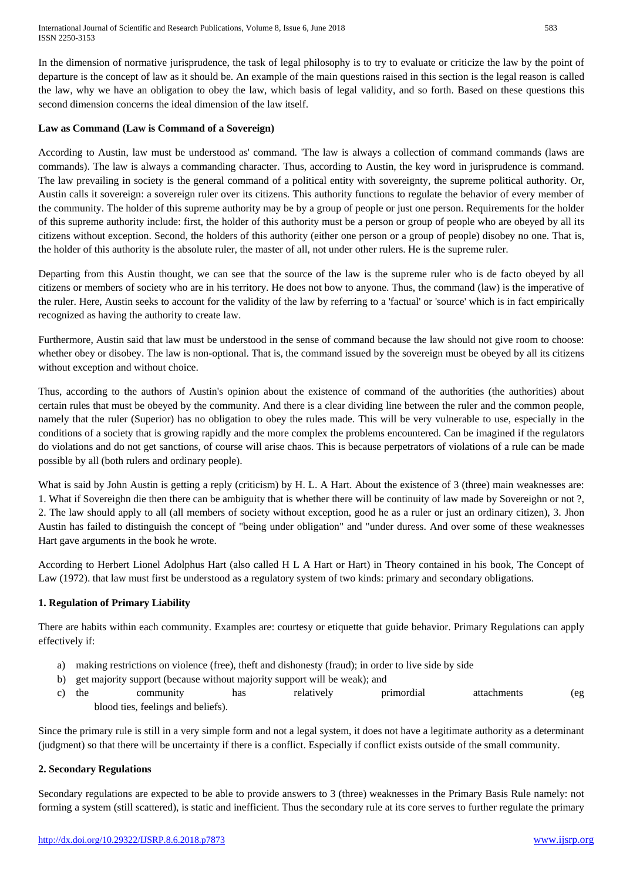In the dimension of normative jurisprudence, the task of legal philosophy is to try to evaluate or criticize the law by the point of departure is the concept of law as it should be. An example of the main questions raised in this section is the legal reason is called the law, why we have an obligation to obey the law, which basis of legal validity, and so forth. Based on these questions this second dimension concerns the ideal dimension of the law itself.

## **Law as Command (Law is Command of a Sovereign)**

According to Austin, law must be understood as' command. 'The law is always a collection of command commands (laws are commands). The law is always a commanding character. Thus, according to Austin, the key word in jurisprudence is command. The law prevailing in society is the general command of a political entity with sovereignty, the supreme political authority. Or, Austin calls it sovereign: a sovereign ruler over its citizens. This authority functions to regulate the behavior of every member of the community. The holder of this supreme authority may be by a group of people or just one person. Requirements for the holder of this supreme authority include: first, the holder of this authority must be a person or group of people who are obeyed by all its citizens without exception. Second, the holders of this authority (either one person or a group of people) disobey no one. That is, the holder of this authority is the absolute ruler, the master of all, not under other rulers. He is the supreme ruler.

Departing from this Austin thought, we can see that the source of the law is the supreme ruler who is de facto obeyed by all citizens or members of society who are in his territory. He does not bow to anyone. Thus, the command (law) is the imperative of the ruler. Here, Austin seeks to account for the validity of the law by referring to a 'factual' or 'source' which is in fact empirically recognized as having the authority to create law.

Furthermore, Austin said that law must be understood in the sense of command because the law should not give room to choose: whether obey or disobey. The law is non-optional. That is, the command issued by the sovereign must be obeyed by all its citizens without exception and without choice.

Thus, according to the authors of Austin's opinion about the existence of command of the authorities (the authorities) about certain rules that must be obeyed by the community. And there is a clear dividing line between the ruler and the common people, namely that the ruler (Superior) has no obligation to obey the rules made. This will be very vulnerable to use, especially in the conditions of a society that is growing rapidly and the more complex the problems encountered. Can be imagined if the regulators do violations and do not get sanctions, of course will arise chaos. This is because perpetrators of violations of a rule can be made possible by all (both rulers and ordinary people).

What is said by John Austin is getting a reply (criticism) by H. L. A Hart. About the existence of 3 (three) main weaknesses are: 1. What if Sovereighn die then there can be ambiguity that is whether there will be continuity of law made by Sovereighn or not ?, 2. The law should apply to all (all members of society without exception, good he as a ruler or just an ordinary citizen), 3. Jhon Austin has failed to distinguish the concept of "being under obligation" and "under duress. And over some of these weaknesses Hart gave arguments in the book he wrote.

According to Herbert Lionel Adolphus Hart (also called H L A Hart or Hart) in Theory contained in his book, The Concept of Law (1972), that law must first be understood as a regulatory system of two kinds: primary and secondary obligations.

## **1. Regulation of Primary Liability**

There are habits within each community. Examples are: courtesy or etiquette that guide behavior. Primary Regulations can apply effectively if:

- a) making restrictions on violence (free), theft and dishonesty (fraud); in order to live side by side
- b) get majority support (because without majority support will be weak); and
- c) the community has relatively primordial attachments (eg blood ties, feelings and beliefs).

Since the primary rule is still in a very simple form and not a legal system, it does not have a legitimate authority as a determinant (judgment) so that there will be uncertainty if there is a conflict. Especially if conflict exists outside of the small community.

## **2. Secondary Regulations**

Secondary regulations are expected to be able to provide answers to 3 (three) weaknesses in the Primary Basis Rule namely: not forming a system (still scattered), is static and inefficient. Thus the secondary rule at its core serves to further regulate the primary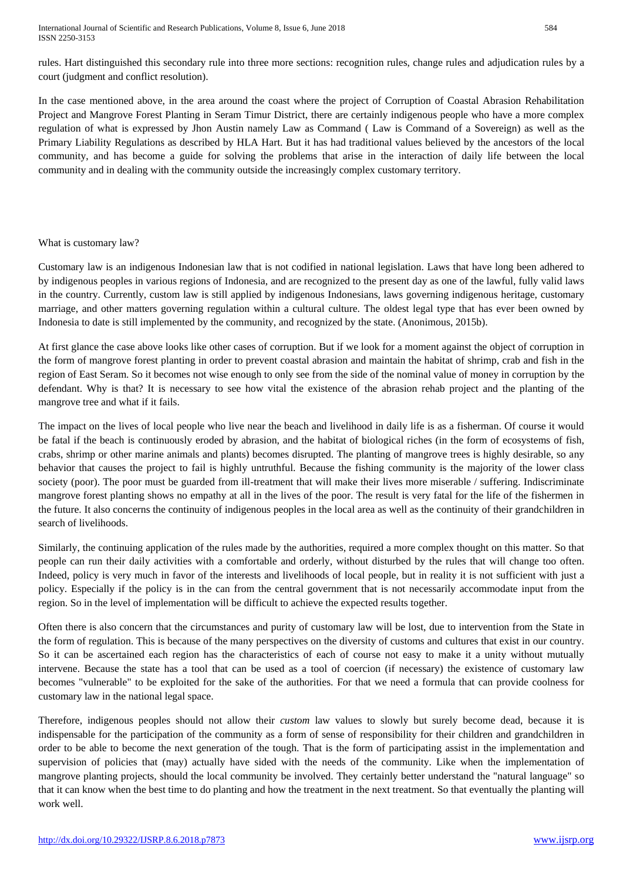rules. Hart distinguished this secondary rule into three more sections: recognition rules, change rules and adjudication rules by a court (judgment and conflict resolution).

In the case mentioned above, in the area around the coast where the project of Corruption of Coastal Abrasion Rehabilitation Project and Mangrove Forest Planting in Seram Timur District, there are certainly indigenous people who have a more complex regulation of what is expressed by Jhon Austin namely Law as Command ( Law is Command of a Sovereign) as well as the Primary Liability Regulations as described by HLA Hart. But it has had traditional values believed by the ancestors of the local community, and has become a guide for solving the problems that arise in the interaction of daily life between the local community and in dealing with the community outside the increasingly complex customary territory.

## What is customary law?

Customary law is an indigenous Indonesian law that is not codified in national legislation. Laws that have long been adhered to by indigenous peoples in various regions of Indonesia, and are recognized to the present day as one of the lawful, fully valid laws in the country. Currently, custom law is still applied by indigenous Indonesians, laws governing indigenous heritage, customary marriage, and other matters governing regulation within a cultural culture. The oldest legal type that has ever been owned by Indonesia to date is still implemented by the community, and recognized by the state. (Anonimous, 2015b).

At first glance the case above looks like other cases of corruption. But if we look for a moment against the object of corruption in the form of mangrove forest planting in order to prevent coastal abrasion and maintain the habitat of shrimp, crab and fish in the region of East Seram. So it becomes not wise enough to only see from the side of the nominal value of money in corruption by the defendant. Why is that? It is necessary to see how vital the existence of the abrasion rehab project and the planting of the mangrove tree and what if it fails.

The impact on the lives of local people who live near the beach and livelihood in daily life is as a fisherman. Of course it would be fatal if the beach is continuously eroded by abrasion, and the habitat of biological riches (in the form of ecosystems of fish, crabs, shrimp or other marine animals and plants) becomes disrupted. The planting of mangrove trees is highly desirable, so any behavior that causes the project to fail is highly untruthful. Because the fishing community is the majority of the lower class society (poor). The poor must be guarded from ill-treatment that will make their lives more miserable / suffering. Indiscriminate mangrove forest planting shows no empathy at all in the lives of the poor. The result is very fatal for the life of the fishermen in the future. It also concerns the continuity of indigenous peoples in the local area as well as the continuity of their grandchildren in search of livelihoods.

Similarly, the continuing application of the rules made by the authorities, required a more complex thought on this matter. So that people can run their daily activities with a comfortable and orderly, without disturbed by the rules that will change too often. Indeed, policy is very much in favor of the interests and livelihoods of local people, but in reality it is not sufficient with just a policy. Especially if the policy is in the can from the central government that is not necessarily accommodate input from the region. So in the level of implementation will be difficult to achieve the expected results together.

Often there is also concern that the circumstances and purity of customary law will be lost, due to intervention from the State in the form of regulation. This is because of the many perspectives on the diversity of customs and cultures that exist in our country. So it can be ascertained each region has the characteristics of each of course not easy to make it a unity without mutually intervene. Because the state has a tool that can be used as a tool of coercion (if necessary) the existence of customary law becomes "vulnerable" to be exploited for the sake of the authorities. For that we need a formula that can provide coolness for customary law in the national legal space.

Therefore, indigenous peoples should not allow their *custom* law values to slowly but surely become dead, because it is indispensable for the participation of the community as a form of sense of responsibility for their children and grandchildren in order to be able to become the next generation of the tough. That is the form of participating assist in the implementation and supervision of policies that (may) actually have sided with the needs of the community. Like when the implementation of mangrove planting projects, should the local community be involved. They certainly better understand the "natural language" so that it can know when the best time to do planting and how the treatment in the next treatment. So that eventually the planting will work well.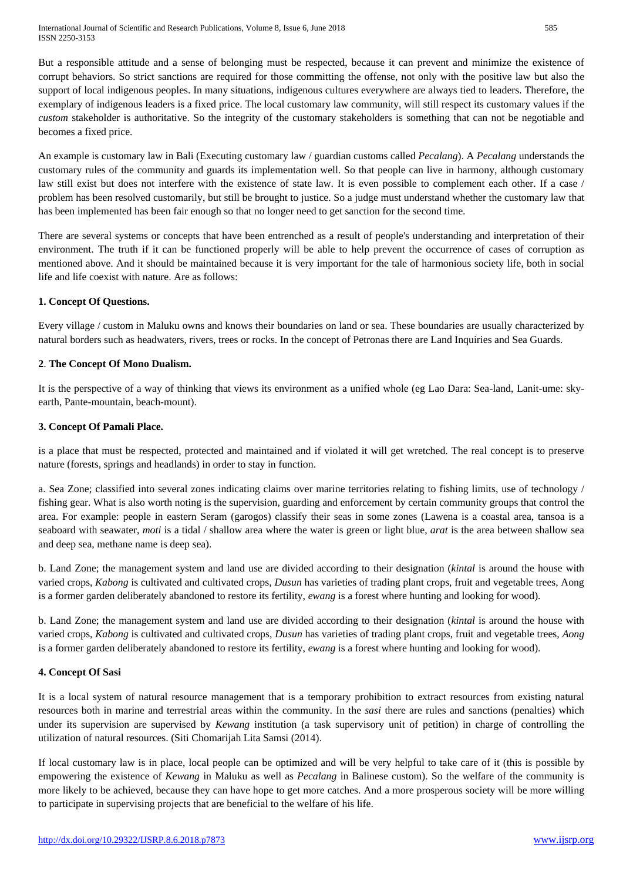International Journal of Scientific and Research Publications, Volume 8, Issue 6, June 2018 585 ISSN 2250-3153

But a responsible attitude and a sense of belonging must be respected, because it can prevent and minimize the existence of corrupt behaviors. So strict sanctions are required for those committing the offense, not only with the positive law but also the support of local indigenous peoples. In many situations, indigenous cultures everywhere are always tied to leaders. Therefore, the exemplary of indigenous leaders is a fixed price. The local customary law community, will still respect its customary values if the *custom* stakeholder is authoritative. So the integrity of the customary stakeholders is something that can not be negotiable and becomes a fixed price.

An example is customary law in Bali (Executing customary law / guardian customs called *Pecalang*). A *Pecalang* understands the customary rules of the community and guards its implementation well. So that people can live in harmony, although customary law still exist but does not interfere with the existence of state law. It is even possible to complement each other. If a case / problem has been resolved customarily, but still be brought to justice. So a judge must understand whether the customary law that has been implemented has been fair enough so that no longer need to get sanction for the second time.

There are several systems or concepts that have been entrenched as a result of people's understanding and interpretation of their environment. The truth if it can be functioned properly will be able to help prevent the occurrence of cases of corruption as mentioned above. And it should be maintained because it is very important for the tale of harmonious society life, both in social life and life coexist with nature. Are as follows:

## **1. Concept Of Questions.**

Every village / custom in Maluku owns and knows their boundaries on land or sea. These boundaries are usually characterized by natural borders such as headwaters, rivers, trees or rocks. In the concept of Petronas there are Land Inquiries and Sea Guards.

## **2**. **The Concept Of Mono Dualism.**

It is the perspective of a way of thinking that views its environment as a unified whole (eg Lao Dara: Sea-land, Lanit-ume: skyearth, Pante-mountain, beach-mount).

## **3. Concept Of Pamali Place.**

is a place that must be respected, protected and maintained and if violated it will get wretched. The real concept is to preserve nature (forests, springs and headlands) in order to stay in function.

a. Sea Zone; classified into several zones indicating claims over marine territories relating to fishing limits, use of technology / fishing gear. What is also worth noting is the supervision, guarding and enforcement by certain community groups that control the area. For example: people in eastern Seram (garogos) classify their seas in some zones (Lawena is a coastal area, tansoa is a seaboard with seawater, *moti* is a tidal / shallow area where the water is green or light blue, *arat* is the area between shallow sea and deep sea, methane name is deep sea).

b. Land Zone; the management system and land use are divided according to their designation (*kintal* is around the house with varied crops, *Kabong* is cultivated and cultivated crops, *Dusun* has varieties of trading plant crops, fruit and vegetable trees, Aong is a former garden deliberately abandoned to restore its fertility, *ewang* is a forest where hunting and looking for wood).

b. Land Zone; the management system and land use are divided according to their designation (*kintal* is around the house with varied crops, *Kabong* is cultivated and cultivated crops, *Dusun* has varieties of trading plant crops, fruit and vegetable trees, *Aong*  is a former garden deliberately abandoned to restore its fertility, *ewang* is a forest where hunting and looking for wood).

## **4. Concept Of Sasi**

It is a local system of natural resource management that is a temporary prohibition to extract resources from existing natural resources both in marine and terrestrial areas within the community. In the *sasi* there are rules and sanctions (penalties) which under its supervision are supervised by *Kewang* institution (a task supervisory unit of petition) in charge of controlling the utilization of natural resources. (Siti Chomarijah Lita Samsi (2014).

If local customary law is in place, local people can be optimized and will be very helpful to take care of it (this is possible by empowering the existence of *Kewang* in Maluku as well as *Pecalang* in Balinese custom). So the welfare of the community is more likely to be achieved, because they can have hope to get more catches. And a more prosperous society will be more willing to participate in supervising projects that are beneficial to the welfare of his life.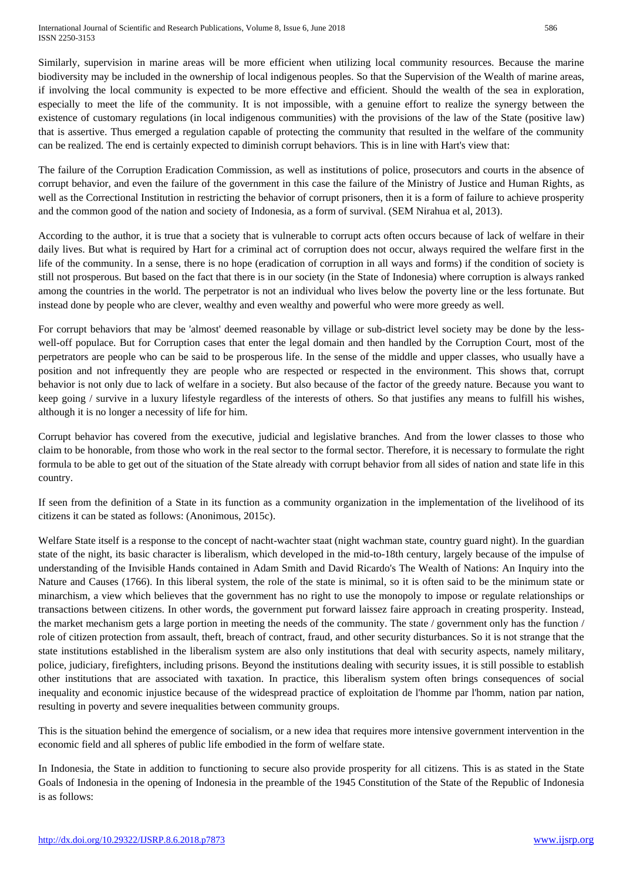Similarly, supervision in marine areas will be more efficient when utilizing local community resources. Because the marine biodiversity may be included in the ownership of local indigenous peoples. So that the Supervision of the Wealth of marine areas, if involving the local community is expected to be more effective and efficient. Should the wealth of the sea in exploration, especially to meet the life of the community. It is not impossible, with a genuine effort to realize the synergy between the existence of customary regulations (in local indigenous communities) with the provisions of the law of the State (positive law) that is assertive. Thus emerged a regulation capable of protecting the community that resulted in the welfare of the community can be realized. The end is certainly expected to diminish corrupt behaviors. This is in line with Hart's view that:

The failure of the Corruption Eradication Commission, as well as institutions of police, prosecutors and courts in the absence of corrupt behavior, and even the failure of the government in this case the failure of the Ministry of Justice and Human Rights, as well as the Correctional Institution in restricting the behavior of corrupt prisoners, then it is a form of failure to achieve prosperity and the common good of the nation and society of Indonesia, as a form of survival. (SEM Nirahua et al, 2013).

According to the author, it is true that a society that is vulnerable to corrupt acts often occurs because of lack of welfare in their daily lives. But what is required by Hart for a criminal act of corruption does not occur, always required the welfare first in the life of the community. In a sense, there is no hope (eradication of corruption in all ways and forms) if the condition of society is still not prosperous. But based on the fact that there is in our society (in the State of Indonesia) where corruption is always ranked among the countries in the world. The perpetrator is not an individual who lives below the poverty line or the less fortunate. But instead done by people who are clever, wealthy and even wealthy and powerful who were more greedy as well.

For corrupt behaviors that may be 'almost' deemed reasonable by village or sub-district level society may be done by the lesswell-off populace. But for Corruption cases that enter the legal domain and then handled by the Corruption Court, most of the perpetrators are people who can be said to be prosperous life. In the sense of the middle and upper classes, who usually have a position and not infrequently they are people who are respected or respected in the environment. This shows that, corrupt behavior is not only due to lack of welfare in a society. But also because of the factor of the greedy nature. Because you want to keep going / survive in a luxury lifestyle regardless of the interests of others. So that justifies any means to fulfill his wishes, although it is no longer a necessity of life for him.

Corrupt behavior has covered from the executive, judicial and legislative branches. And from the lower classes to those who claim to be honorable, from those who work in the real sector to the formal sector. Therefore, it is necessary to formulate the right formula to be able to get out of the situation of the State already with corrupt behavior from all sides of nation and state life in this country.

If seen from the definition of a State in its function as a community organization in the implementation of the livelihood of its citizens it can be stated as follows: (Anonimous, 2015c).

Welfare State itself is a response to the concept of nacht-wachter staat (night wachman state, country guard night). In the guardian state of the night, its basic character is liberalism, which developed in the mid-to-18th century, largely because of the impulse of understanding of the Invisible Hands contained in Adam Smith and David Ricardo's The Wealth of Nations: An Inquiry into the Nature and Causes (1766). In this liberal system, the role of the state is minimal, so it is often said to be the minimum state or minarchism, a view which believes that the government has no right to use the monopoly to impose or regulate relationships or transactions between citizens. In other words, the government put forward laissez faire approach in creating prosperity. Instead, the market mechanism gets a large portion in meeting the needs of the community. The state / government only has the function / role of citizen protection from assault, theft, breach of contract, fraud, and other security disturbances. So it is not strange that the state institutions established in the liberalism system are also only institutions that deal with security aspects, namely military, police, judiciary, firefighters, including prisons. Beyond the institutions dealing with security issues, it is still possible to establish other institutions that are associated with taxation. In practice, this liberalism system often brings consequences of social inequality and economic injustice because of the widespread practice of exploitation de l'homme par l'homm, nation par nation, resulting in poverty and severe inequalities between community groups.

This is the situation behind the emergence of socialism, or a new idea that requires more intensive government intervention in the economic field and all spheres of public life embodied in the form of welfare state.

In Indonesia, the State in addition to functioning to secure also provide prosperity for all citizens. This is as stated in the State Goals of Indonesia in the opening of Indonesia in the preamble of the 1945 Constitution of the State of the Republic of Indonesia is as follows: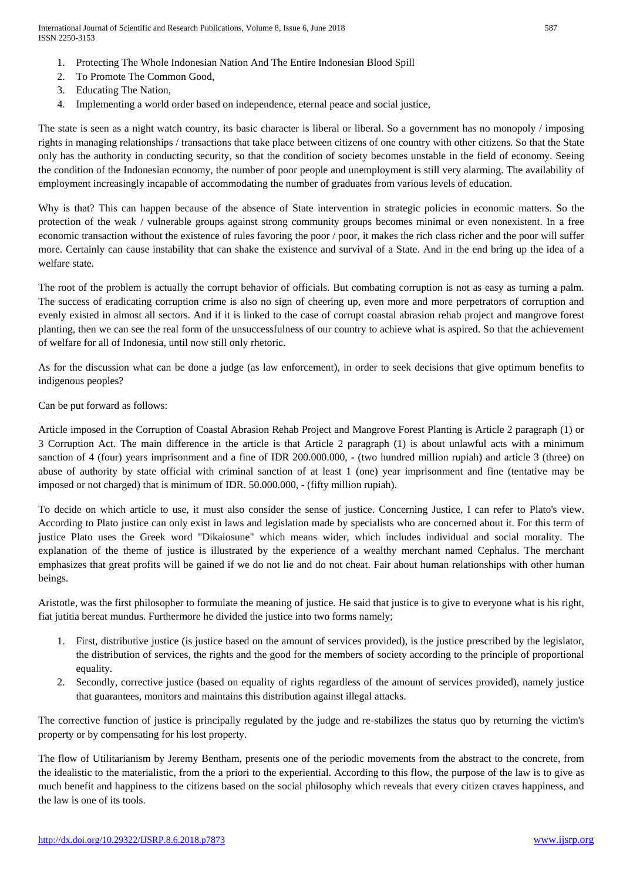International Journal of Scientific and Research Publications, Volume 8, Issue 6, June 2018 587 ISSN 2250-3153

- 1. Protecting The Whole Indonesian Nation And The Entire Indonesian Blood Spill
- 2. To Promote The Common Good,
- 3. Educating The Nation,
- 4. Implementing a world order based on independence, eternal peace and social justice,

The state is seen as a night watch country, its basic character is liberal or liberal. So a government has no monopoly / imposing rights in managing relationships / transactions that take place between citizens of one country with other citizens. So that the State only has the authority in conducting security, so that the condition of society becomes unstable in the field of economy. Seeing the condition of the Indonesian economy, the number of poor people and unemployment is still very alarming. The availability of employment increasingly incapable of accommodating the number of graduates from various levels of education.

Why is that? This can happen because of the absence of State intervention in strategic policies in economic matters. So the protection of the weak / vulnerable groups against strong community groups becomes minimal or even nonexistent. In a free economic transaction without the existence of rules favoring the poor / poor, it makes the rich class richer and the poor will suffer more. Certainly can cause instability that can shake the existence and survival of a State. And in the end bring up the idea of a welfare state.

The root of the problem is actually the corrupt behavior of officials. But combating corruption is not as easy as turning a palm. The success of eradicating corruption crime is also no sign of cheering up, even more and more perpetrators of corruption and evenly existed in almost all sectors. And if it is linked to the case of corrupt coastal abrasion rehab project and mangrove forest planting, then we can see the real form of the unsuccessfulness of our country to achieve what is aspired. So that the achievement of welfare for all of Indonesia, until now still only rhetoric.

As for the discussion what can be done a judge (as law enforcement), in order to seek decisions that give optimum benefits to indigenous peoples?

Can be put forward as follows:

Article imposed in the Corruption of Coastal Abrasion Rehab Project and Mangrove Forest Planting is Article 2 paragraph (1) or 3 Corruption Act. The main difference in the article is that Article 2 paragraph (1) is about unlawful acts with a minimum sanction of 4 (four) years imprisonment and a fine of IDR 200.000.000, - (two hundred million rupiah) and article 3 (three) on abuse of authority by state official with criminal sanction of at least 1 (one) year imprisonment and fine (tentative may be imposed or not charged) that is minimum of IDR. 50.000.000, - (fifty million rupiah).

To decide on which article to use, it must also consider the sense of justice. Concerning Justice, I can refer to Plato's view. According to Plato justice can only exist in laws and legislation made by specialists who are concerned about it. For this term of justice Plato uses the Greek word "Dikaiosune" which means wider, which includes individual and social morality. The explanation of the theme of justice is illustrated by the experience of a wealthy merchant named Cephalus. The merchant emphasizes that great profits will be gained if we do not lie and do not cheat. Fair about human relationships with other human beings.

Aristotle, was the first philosopher to formulate the meaning of justice. He said that justice is to give to everyone what is his right, fiat jutitia bereat mundus. Furthermore he divided the justice into two forms namely;

- 1. First, distributive justice (is justice based on the amount of services provided), is the justice prescribed by the legislator, the distribution of services, the rights and the good for the members of society according to the principle of proportional equality.
- 2. Secondly, corrective justice (based on equality of rights regardless of the amount of services provided), namely justice that guarantees, monitors and maintains this distribution against illegal attacks.

The corrective function of justice is principally regulated by the judge and re-stabilizes the status quo by returning the victim's property or by compensating for his lost property.

The flow of Utilitarianism by Jeremy Bentham, presents one of the periodic movements from the abstract to the concrete, from the idealistic to the materialistic, from the a priori to the experiential. According to this flow, the purpose of the law is to give as much benefit and happiness to the citizens based on the social philosophy which reveals that every citizen craves happiness, and the law is one of its tools.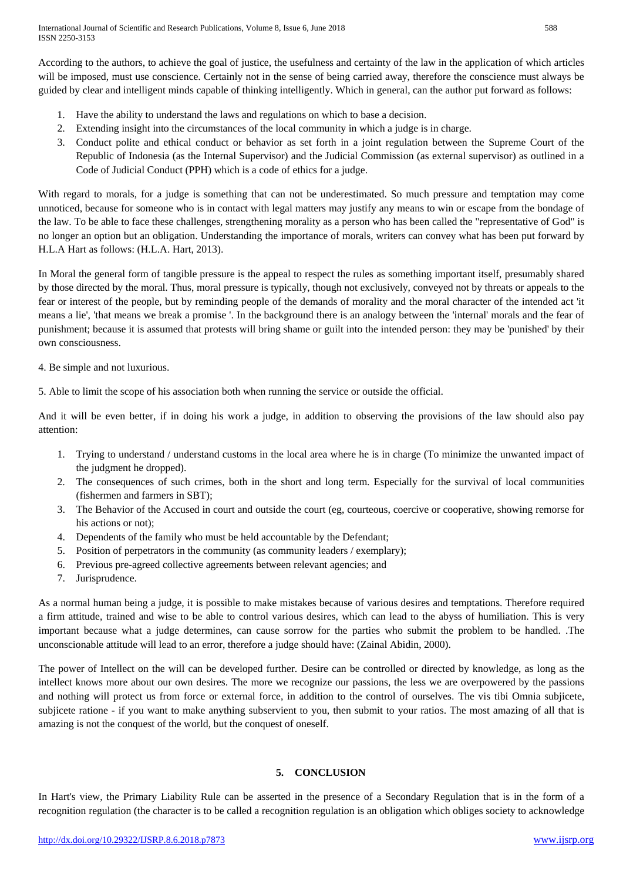According to the authors, to achieve the goal of justice, the usefulness and certainty of the law in the application of which articles will be imposed, must use conscience. Certainly not in the sense of being carried away, therefore the conscience must always be guided by clear and intelligent minds capable of thinking intelligently. Which in general, can the author put forward as follows:

- 1. Have the ability to understand the laws and regulations on which to base a decision.
- 2. Extending insight into the circumstances of the local community in which a judge is in charge.
- 3. Conduct polite and ethical conduct or behavior as set forth in a joint regulation between the Supreme Court of the Republic of Indonesia (as the Internal Supervisor) and the Judicial Commission (as external supervisor) as outlined in a Code of Judicial Conduct (PPH) which is a code of ethics for a judge.

With regard to morals, for a judge is something that can not be underestimated. So much pressure and temptation may come unnoticed, because for someone who is in contact with legal matters may justify any means to win or escape from the bondage of the law. To be able to face these challenges, strengthening morality as a person who has been called the "representative of God" is no longer an option but an obligation. Understanding the importance of morals, writers can convey what has been put forward by H.L.A Hart as follows: (H.L.A. Hart, 2013).

In Moral the general form of tangible pressure is the appeal to respect the rules as something important itself, presumably shared by those directed by the moral. Thus, moral pressure is typically, though not exclusively, conveyed not by threats or appeals to the fear or interest of the people, but by reminding people of the demands of morality and the moral character of the intended act 'it means a lie', 'that means we break a promise '. In the background there is an analogy between the 'internal' morals and the fear of punishment; because it is assumed that protests will bring shame or guilt into the intended person: they may be 'punished' by their own consciousness.

4. Be simple and not luxurious.

5. Able to limit the scope of his association both when running the service or outside the official.

And it will be even better, if in doing his work a judge, in addition to observing the provisions of the law should also pay attention:

- 1. Trying to understand / understand customs in the local area where he is in charge (To minimize the unwanted impact of the judgment he dropped).
- 2. The consequences of such crimes, both in the short and long term. Especially for the survival of local communities (fishermen and farmers in SBT);
- 3. The Behavior of the Accused in court and outside the court (eg, courteous, coercive or cooperative, showing remorse for his actions or not);
- 4. Dependents of the family who must be held accountable by the Defendant;
- 5. Position of perpetrators in the community (as community leaders / exemplary);
- 6. Previous pre-agreed collective agreements between relevant agencies; and
- 7. Jurisprudence.

As a normal human being a judge, it is possible to make mistakes because of various desires and temptations. Therefore required a firm attitude, trained and wise to be able to control various desires, which can lead to the abyss of humiliation. This is very important because what a judge determines, can cause sorrow for the parties who submit the problem to be handled. .The unconscionable attitude will lead to an error, therefore a judge should have: (Zainal Abidin, 2000).

The power of Intellect on the will can be developed further. Desire can be controlled or directed by knowledge, as long as the intellect knows more about our own desires. The more we recognize our passions, the less we are overpowered by the passions and nothing will protect us from force or external force, in addition to the control of ourselves. The vis tibi Omnia subjicete, subjicete ratione - if you want to make anything subservient to you, then submit to your ratios. The most amazing of all that is amazing is not the conquest of the world, but the conquest of oneself.

## **5. CONCLUSION**

In Hart's view, the Primary Liability Rule can be asserted in the presence of a Secondary Regulation that is in the form of a recognition regulation (the character is to be called a recognition regulation is an obligation which obliges society to acknowledge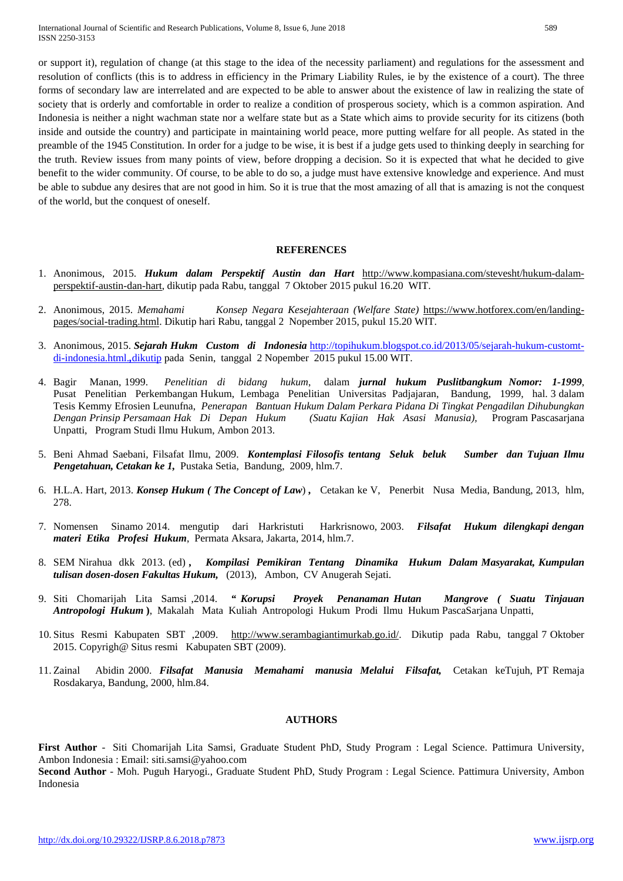or support it), regulation of change (at this stage to the idea of the necessity parliament) and regulations for the assessment and resolution of conflicts (this is to address in efficiency in the Primary Liability Rules, ie by the existence of a court). The three forms of secondary law are interrelated and are expected to be able to answer about the existence of law in realizing the state of society that is orderly and comfortable in order to realize a condition of prosperous society, which is a common aspiration. And Indonesia is neither a night wachman state nor a welfare state but as a State which aims to provide security for its citizens (both inside and outside the country) and participate in maintaining world peace, more putting welfare for all people. As stated in the preamble of the 1945 Constitution. In order for a judge to be wise, it is best if a judge gets used to thinking deeply in searching for the truth. Review issues from many points of view, before dropping a decision. So it is expected that what he decided to give benefit to the wider community. Of course, to be able to do so, a judge must have extensive knowledge and experience. And must be able to subdue any desires that are not good in him. So it is true that the most amazing of all that is amazing is not the conquest of the world, but the conquest of oneself.

#### **REFERENCES**

- 1. Anonimous, 2015. *Hukum dalam Perspektif Austin dan Hart* [http://www.kompasiana.com/stevesht/hukum-dalam](http://www.kompasiana.com/stevesht/hukum-dalam-perspektif-austin-dan-hart)[perspektif-austin-dan-hart,](http://www.kompasiana.com/stevesht/hukum-dalam-perspektif-austin-dan-hart) dikutip pada Rabu, tanggal 7 Oktober 2015 pukul 16.20 WIT.
- 2. Anonimous, 2015. *[Memahami Konsep Negara Kesejahteraan \(Welfare State\)](http://triwidodowutomo.blogspot.co.id/2013/07/memahami-konsep-negara-kesejahteraan.html)* [https://www.hotforex.com/en/landing](https://www.hotforex.com/en/landing-pages/social-trading.html)[pages/social-trading.html.](https://www.hotforex.com/en/landing-pages/social-trading.html) Dikutip hari Rabu, tanggal 2 Nopember 2015, pukul 15.20 WIT.
- 3. Anonimous, 2015. *Sejarah Hukm Custom di Indonesia* [http://topihukum.blogspot.co.id/2013/05/sejarah-hukum-customt](http://topihukum.blogspot.co.id/2013/05/sejarah-hukum-customt-di-indonesia.html.,dikutip)[di-indonesia.html.](http://topihukum.blogspot.co.id/2013/05/sejarah-hukum-customt-di-indonesia.html.,dikutip)*,*dikutip pada Senin, tanggal 2 Nopember 2015 pukul 15.00 WIT.
- 4. Bagir Manan, 1999. *Penelitian di bidang hukum*, dalam *jurnal hukum Puslitbangkum Nomor: 1-1999*, Pusat Penelitian Perkembangan Hukum, Lembaga Penelitian Universitas Padjajaran, Bandung, 1999, hal. 3 dalam Tesis Kemmy Efrosien Leunufna, *Penerapan Bantuan Hukum Dalam Perkara Pidana Di Tingkat Pengadilan Dihubungkan Dengan Prinsip Persamaan Hak Di Depan Hukum (Suatu Kajian Hak Asasi Manusia),* Program Pascasarjana Unpatti, Program Studi Ilmu Hukum, Ambon 2013.
- 5. Beni Ahmad Saebani, Filsafat Ilmu, 2009. *Kontemplasi Filosofis tentang Seluk beluk Sumber dan Tujuan Ilmu Pengetahuan, Cetakan ke 1,* Pustaka Setia, Bandung, 2009, hlm.7.
- 6. H.L.A. Hart, 2013. *Konsep Hukum ( The Concept of Law*) *,* Cetakan ke V, Penerbit Nusa Media, Bandung, 2013, hlm, 278.
- 7. Nomensen Sinamo 2014. mengutip dari Harkristuti Harkrisnowo, 2003. *Filsafat Hukum dilengkapi dengan materi Etika Profesi Hukum*, Permata Aksara, Jakarta, 2014, hlm.7.
- 8. SEM Nirahua dkk 2013. (ed) *, Kompilasi Pemikiran Tentang Dinamika Hukum Dalam Masyarakat, Kumpulan tulisan dosen-dosen Fakultas Hukum,* (2013), Ambon, CV Anugerah Sejati.
- 9. Siti Chomarijah Lita Samsi ,2014. *" Korupsi Proyek Penanaman Hutan Mangrove ( Suatu Tinjauan Antropologi Hukum* **)**, Makalah Mata Kuliah Antropologi Hukum Prodi Ilmu Hukum PascaSarjana Unpatti,
- 10. Situs Resmi Kabupaten SBT ,2009. [http://www.serambagiantimurkab.go.id/.](http://www.serambagiantimurkab.go.id/) Dikutip pada Rabu, tanggal 7 Oktober 2015. Copyrigh@ Situs resmi Kabupaten SBT (2009).
- 11. Zainal Abidin 2000. *Filsafat Manusia Memahami manusia Melalui Filsafat,* Cetakan keTujuh, PT Remaja Rosdakarya, Bandung, 2000, hlm.84.

#### **AUTHORS**

**First Author** - Siti Chomarijah Lita Samsi*,* Graduate Student PhD, Study Program : Legal Science. Pattimura University, Ambon Indonesia : Email: siti.samsi@yahoo.com **Second Author** - Moh. Puguh Haryogi*.*, Graduate Student PhD, Study Program : Legal Science. Pattimura University, Ambon Indonesia